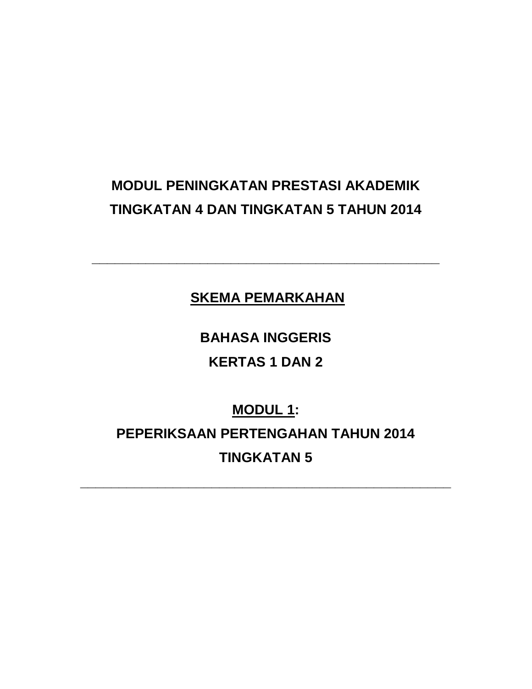# **MODUL PENINGKATAN PRESTASI AKADEMIK TINGKATAN 4 DAN TINGKATAN 5 TAHUN 2014**

**SKEMA PEMARKAHAN**

**\_\_\_\_\_\_\_\_\_\_\_\_\_\_\_\_\_\_\_\_\_\_\_\_\_\_\_\_\_\_\_\_\_\_\_\_\_\_\_\_\_\_\_\_\_**

**BAHASA INGGERIS KERTAS 1 DAN 2**

**MODUL 1: PEPERIKSAAN PERTENGAHAN TAHUN 2014 TINGKATAN 5**

**\_\_\_\_\_\_\_\_\_\_\_\_\_\_\_\_\_\_\_\_\_\_\_\_\_\_\_\_\_\_\_\_\_\_\_\_\_\_\_\_\_\_\_\_\_\_\_\_**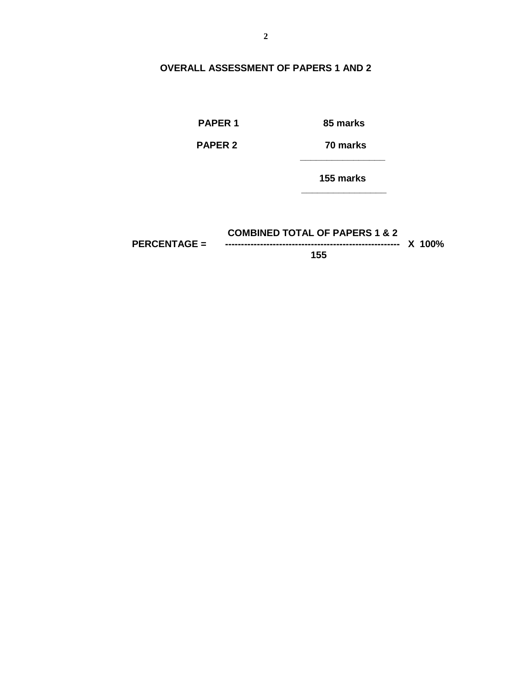#### **OVERALL ASSESSMENT OF PAPERS 1 AND 2**

**PAPER 1 85 marks**

**PAPER 2 70 marks**

 **155 marks**

**COMBINED TOTAL OF PAPERS 1 & 2 PERCENTAGE = ------------------------------------------------------- X 100% 155**

 **\_\_\_\_\_\_\_\_\_\_\_\_\_\_\_\_**

 **\_\_\_\_\_\_\_\_\_\_\_\_\_\_\_\_**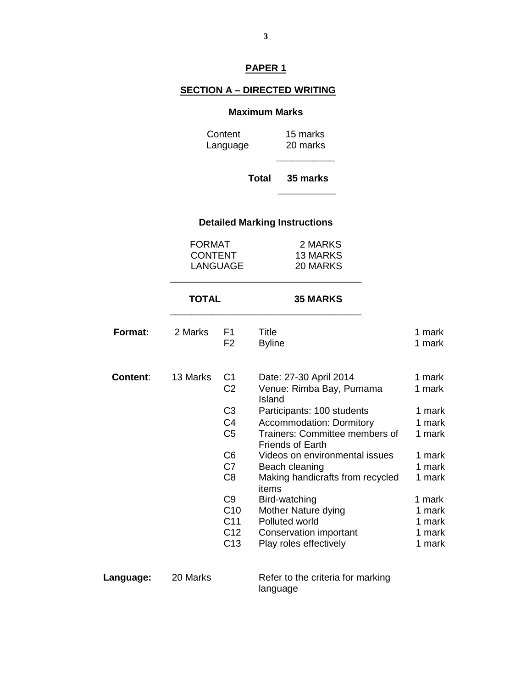# **PAPER 1**

#### **SECTION A – DIRECTED WRITING**

#### **Maximum Marks**

Content 15 marks Language 20 marks  $\frac{1}{2}$  , and the set of  $\frac{1}{2}$  , and the set of  $\frac{1}{2}$ 

 **Total 35 marks**

# **Detailed Marking Instructions**

 $\frac{1}{\sqrt{2}}$  ,  $\frac{1}{\sqrt{2}}$  ,  $\frac{1}{\sqrt{2}}$  ,  $\frac{1}{\sqrt{2}}$  ,  $\frac{1}{\sqrt{2}}$  ,  $\frac{1}{\sqrt{2}}$  ,  $\frac{1}{\sqrt{2}}$  ,  $\frac{1}{\sqrt{2}}$  ,  $\frac{1}{\sqrt{2}}$  ,  $\frac{1}{\sqrt{2}}$  ,  $\frac{1}{\sqrt{2}}$  ,  $\frac{1}{\sqrt{2}}$  ,  $\frac{1}{\sqrt{2}}$  ,  $\frac{1}{\sqrt{2}}$  ,  $\frac{1}{\sqrt{2}}$ 

| <b>FORMAT</b>  | 2 MARKS  |
|----------------|----------|
| <b>CONTENT</b> | 13 MARKS |
| LANGUAGE       | 20 MARKS |
|                |          |

\_\_\_\_\_\_\_\_\_\_\_\_\_\_\_\_\_\_\_\_\_\_\_\_\_\_\_\_\_\_\_\_\_\_\_\_

#### **TOTAL 35 MARKS**

| Format:         | 2 Marks  | F1<br>F <sub>2</sub>                               | Title<br><b>Byline</b>                                                                       | 1 mark<br>1 mark           |
|-----------------|----------|----------------------------------------------------|----------------------------------------------------------------------------------------------|----------------------------|
| <b>Content:</b> | 13 Marks | C <sub>1</sub><br>C <sub>2</sub><br>C <sub>3</sub> | Date: 27-30 April 2014<br>Venue: Rimba Bay, Purnama<br>Island<br>Participants: 100 students  | 1 mark<br>1 mark<br>1 mark |
|                 |          | C4<br>C <sub>5</sub>                               | <b>Accommodation: Dormitory</b><br>Trainers: Committee members of<br><b>Friends of Earth</b> | 1 mark<br>1 mark           |
|                 |          | C6                                                 | Videos on environmental issues                                                               | 1 mark                     |
|                 |          | C7<br>C <sub>8</sub>                               | Beach cleaning<br>Making handicrafts from recycled<br>items                                  | 1 mark<br>1 mark           |
|                 |          | C <sub>9</sub>                                     | Bird-watching                                                                                | 1 mark                     |
|                 |          | C <sub>10</sub>                                    | Mother Nature dying                                                                          | 1 mark                     |
|                 |          | C <sub>11</sub><br>C <sub>12</sub>                 | Polluted world<br>Conservation important                                                     | 1 mark<br>1 mark           |
|                 |          | C <sub>13</sub>                                    | Play roles effectively                                                                       | 1 mark                     |

Language: 20 Marks Refer to the criteria for marking language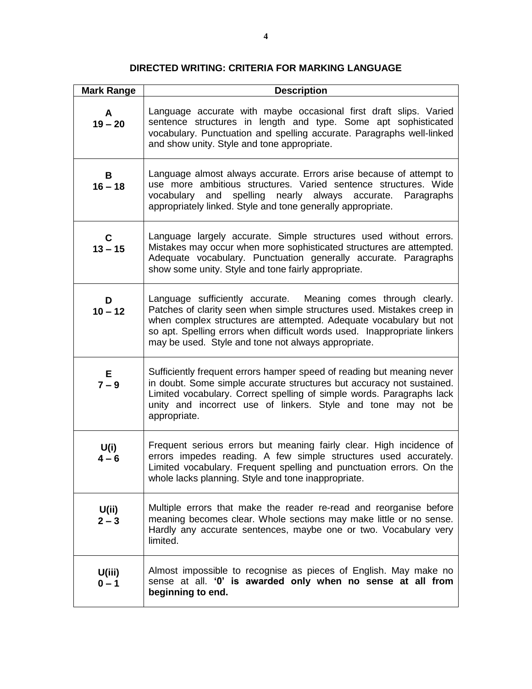# **DIRECTED WRITING: CRITERIA FOR MARKING LANGUAGE**

| <b>Mark Range</b> | <b>Description</b>                                                                                                                                                                                                                                                                                                                                |
|-------------------|---------------------------------------------------------------------------------------------------------------------------------------------------------------------------------------------------------------------------------------------------------------------------------------------------------------------------------------------------|
| A<br>$19 - 20$    | Language accurate with maybe occasional first draft slips. Varied<br>sentence structures in length and type. Some apt sophisticated<br>vocabulary. Punctuation and spelling accurate. Paragraphs well-linked<br>and show unity. Style and tone appropriate.                                                                                       |
| B<br>$16 - 18$    | Language almost always accurate. Errors arise because of attempt to<br>use more ambitious structures. Varied sentence structures. Wide<br>vocabulary and spelling nearly always accurate. Paragraphs<br>appropriately linked. Style and tone generally appropriate.                                                                               |
| C<br>$13 - 15$    | Language largely accurate. Simple structures used without errors.<br>Mistakes may occur when more sophisticated structures are attempted.<br>Adequate vocabulary. Punctuation generally accurate. Paragraphs<br>show some unity. Style and tone fairly appropriate.                                                                               |
| D<br>$10 - 12$    | Language sufficiently accurate. Meaning comes through clearly.<br>Patches of clarity seen when simple structures used. Mistakes creep in<br>when complex structures are attempted. Adequate vocabulary but not<br>so apt. Spelling errors when difficult words used. Inappropriate linkers<br>may be used. Style and tone not always appropriate. |
| E<br>$7 - 9$      | Sufficiently frequent errors hamper speed of reading but meaning never<br>in doubt. Some simple accurate structures but accuracy not sustained.<br>Limited vocabulary. Correct spelling of simple words. Paragraphs lack<br>unity and incorrect use of linkers. Style and tone may not be<br>appropriate.                                         |
| U(i)<br>$4 - 6$   | Frequent serious errors but meaning fairly clear. High incidence of<br>errors impedes reading. A few simple structures used accurately.<br>Limited vocabulary. Frequent spelling and punctuation errors. On the<br>whole lacks planning. Style and tone inappropriate.                                                                            |
| U(ii)<br>$2 - 3$  | Multiple errors that make the reader re-read and reorganise before<br>meaning becomes clear. Whole sections may make little or no sense.<br>Hardly any accurate sentences, maybe one or two. Vocabulary very<br>limited.                                                                                                                          |
| U(iii)<br>$0 - 1$ | Almost impossible to recognise as pieces of English. May make no<br>sense at all. '0' is awarded only when no sense at all from<br>beginning to end.                                                                                                                                                                                              |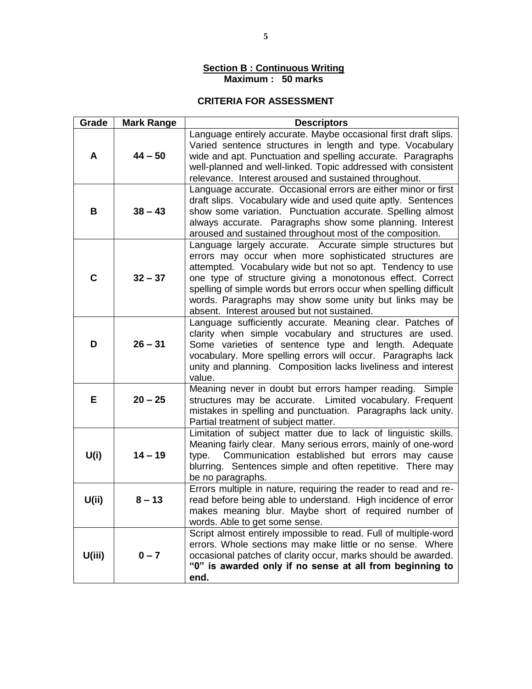#### **Section B : Continuous Writing Maximum : 50 marks**

# **CRITERIA FOR ASSESSMENT**

| Grade  | <b>Mark Range</b> | <b>Descriptors</b>                                                                                                                                                                                                                                                                                                                                                                                                            |
|--------|-------------------|-------------------------------------------------------------------------------------------------------------------------------------------------------------------------------------------------------------------------------------------------------------------------------------------------------------------------------------------------------------------------------------------------------------------------------|
| A      | $44 - 50$         | Language entirely accurate. Maybe occasional first draft slips.<br>Varied sentence structures in length and type. Vocabulary<br>wide and apt. Punctuation and spelling accurate. Paragraphs<br>well-planned and well-linked. Topic addressed with consistent<br>relevance. Interest aroused and sustained throughout.                                                                                                         |
| В      | $38 - 43$         | Language accurate. Occasional errors are either minor or first<br>draft slips. Vocabulary wide and used quite aptly. Sentences<br>show some variation. Punctuation accurate. Spelling almost<br>always accurate. Paragraphs show some planning. Interest<br>aroused and sustained throughout most of the composition.                                                                                                         |
| C      | $32 - 37$         | Language largely accurate. Accurate simple structures but<br>errors may occur when more sophisticated structures are<br>attempted. Vocabulary wide but not so apt. Tendency to use<br>one type of structure giving a monotonous effect. Correct<br>spelling of simple words but errors occur when spelling difficult<br>words. Paragraphs may show some unity but links may be<br>absent. Interest aroused but not sustained. |
| D      | $26 - 31$         | Language sufficiently accurate. Meaning clear. Patches of<br>clarity when simple vocabulary and structures are used.<br>Some varieties of sentence type and length. Adequate<br>vocabulary. More spelling errors will occur. Paragraphs lack<br>unity and planning. Composition lacks liveliness and interest<br>value.                                                                                                       |
| Е      | $20 - 25$         | Meaning never in doubt but errors hamper reading. Simple<br>structures may be accurate. Limited vocabulary. Frequent<br>mistakes in spelling and punctuation. Paragraphs lack unity.<br>Partial treatment of subject matter.                                                                                                                                                                                                  |
| U(i)   | $14 - 19$         | Limitation of subject matter due to lack of linguistic skills.<br>Meaning fairly clear. Many serious errors, mainly of one-word<br>type. Communication established but errors may cause<br>blurring. Sentences simple and often repetitive. There may<br>be no paragraphs.                                                                                                                                                    |
| U(i)   | $8 - 13$          | Errors multiple in nature, requiring the reader to read and re-<br>read before being able to understand. High incidence of error<br>makes meaning blur. Maybe short of required number of<br>words. Able to get some sense.                                                                                                                                                                                                   |
| U(iii) | $0 - 7$           | Script almost entirely impossible to read. Full of multiple-word<br>errors. Whole sections may make little or no sense. Where<br>occasional patches of clarity occur, marks should be awarded.<br>"0" is awarded only if no sense at all from beginning to<br>end.                                                                                                                                                            |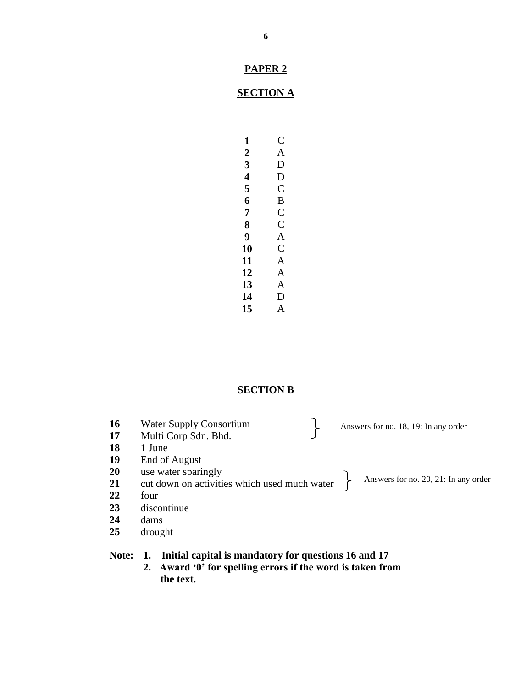# **SECTION A**

| 1  | € |
|----|---|
| 2  | A |
| 3  | D |
| 4  | D |
| 5  | C |
| 6  | B |
| 7  | C |
| 8  | C |
| 9  | A |
| 10 | C |
| 11 | A |
| 12 | A |
| 13 | A |
| 14 | D |
| 15 | A |

# **SECTION B**

| 16 | <b>Water Supply Consortium</b>               | Answers for no. 18, 19: In any order |
|----|----------------------------------------------|--------------------------------------|
| 17 | Multi Corp Sdn. Bhd.                         |                                      |
| 18 | 1 June                                       |                                      |
| 19 | End of August                                |                                      |
| 20 | use water sparingly                          |                                      |
| 21 | cut down on activities which used much water | Answers for no. 20, 21: In any order |
| 22 | four                                         |                                      |
| 23 | discontinue                                  |                                      |
| 24 | dams                                         |                                      |
| 25 | drought                                      |                                      |
|    |                                              |                                      |

# **Note: 1. Initial capital is mandatory for questions 16 and 17**

**2. Award '0' for spelling errors if the word is taken from the text.**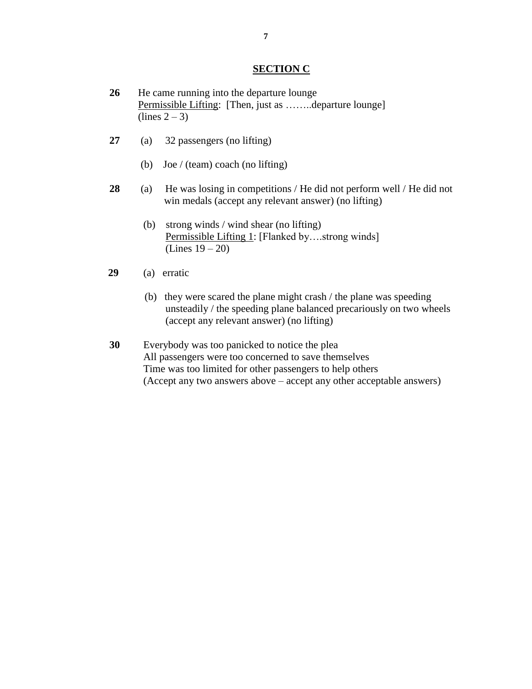#### **SECTION C**

- **26** He came running into the departure lounge Permissible Lifting: [Then, just as ……..departure lounge]  $(\text{lines } 2 - 3)$
- **27** (a) 32 passengers (no lifting)
	- (b) Joe / (team) coach (no lifting)
- **28** (a) He was losing in competitions / He did not perform well / He did not win medals (accept any relevant answer) (no lifting)
	- (b) strong winds / wind shear (no lifting) Permissible Lifting 1: [Flanked by….strong winds] (Lines 19 – 20)
- **29** (a) erratic
	- (b) they were scared the plane might crash / the plane was speeding unsteadily / the speeding plane balanced precariously on two wheels (accept any relevant answer) (no lifting)
- **30** Everybody was too panicked to notice the plea All passengers were too concerned to save themselves Time was too limited for other passengers to help others (Accept any two answers above – accept any other acceptable answers)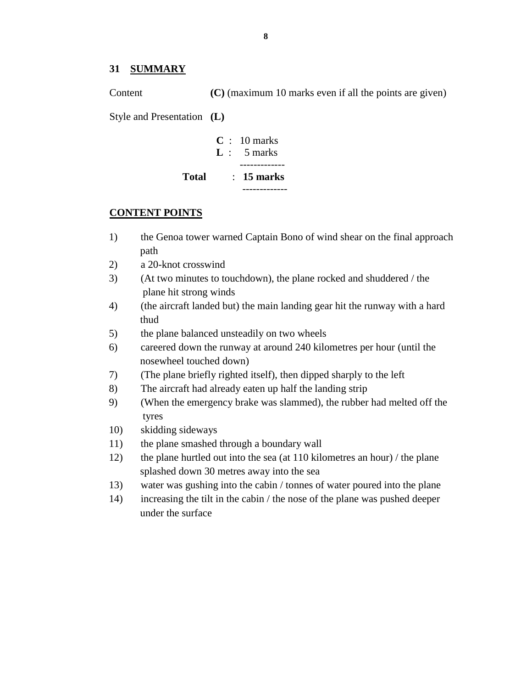#### **31 SUMMARY**

Content **(C)** (maximum 10 marks even if all the points are given) Style and Presentation **(L)**

|              | $C: 10 \text{ marks}$  |
|--------------|------------------------|
|              | $\mathbf{L}$ : 5 marks |
|              |                        |
| <b>Total</b> | $\therefore$ 15 marks  |
|              |                        |

#### **CONTENT POINTS**

- 1) the Genoa tower warned Captain Bono of wind shear on the final approach path
- 2) a 20-knot crosswind
- 3) (At two minutes to touchdown), the plane rocked and shuddered / the plane hit strong winds
- 4) (the aircraft landed but) the main landing gear hit the runway with a hard thud
- 5) the plane balanced unsteadily on two wheels
- 6) careered down the runway at around 240 kilometres per hour (until the nosewheel touched down)
- 7) (The plane briefly righted itself), then dipped sharply to the left
- 8) The aircraft had already eaten up half the landing strip
- 9) (When the emergency brake was slammed), the rubber had melted off the tyres
- 10) skidding sideways
- 11) the plane smashed through a boundary wall
- 12) the plane hurtled out into the sea (at 110 kilometres an hour) / the plane splashed down 30 metres away into the sea
- 13) water was gushing into the cabin / tonnes of water poured into the plane
- 14) increasing the tilt in the cabin / the nose of the plane was pushed deeper under the surface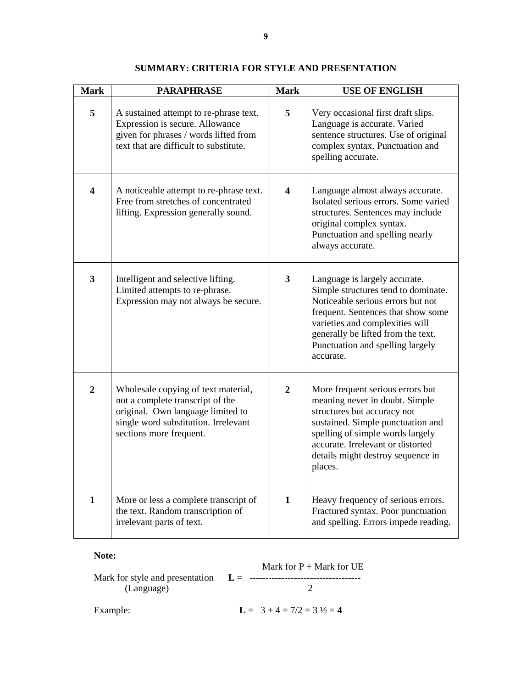| <b>Mark</b>    | <b>PARAPHRASE</b>                                                                                                                                                               | <b>Mark</b>    | <b>USE OF ENGLISH</b>                                                                                                                                                                                                                                                     |
|----------------|---------------------------------------------------------------------------------------------------------------------------------------------------------------------------------|----------------|---------------------------------------------------------------------------------------------------------------------------------------------------------------------------------------------------------------------------------------------------------------------------|
| 5              | A sustained attempt to re-phrase text.<br>Expression is secure. Allowance<br>given for phrases / words lifted from<br>text that are difficult to substitute.                    | 5              | Very occasional first draft slips.<br>Language is accurate. Varied<br>sentence structures. Use of original<br>complex syntax. Punctuation and<br>spelling accurate.                                                                                                       |
| 4              | A noticeable attempt to re-phrase text.<br>Free from stretches of concentrated<br>lifting. Expression generally sound.                                                          | 4              | Language almost always accurate.<br>Isolated serious errors. Some varied<br>structures. Sentences may include<br>original complex syntax.<br>Punctuation and spelling nearly<br>always accurate.                                                                          |
| $\mathbf{3}$   | Intelligent and selective lifting.<br>Limited attempts to re-phrase.<br>Expression may not always be secure.                                                                    | $3^{\circ}$    | Language is largely accurate.<br>Simple structures tend to dominate.<br>Noticeable serious errors but not<br>frequent. Sentences that show some<br>varieties and complexities will<br>generally be lifted from the text.<br>Punctuation and spelling largely<br>accurate. |
| $\overline{2}$ | Wholesale copying of text material,<br>not a complete transcript of the<br>original. Own language limited to<br>single word substitution. Irrelevant<br>sections more frequent. | $\overline{2}$ | More frequent serious errors but<br>meaning never in doubt. Simple<br>structures but accuracy not<br>sustained. Simple punctuation and<br>spelling of simple words largely<br>accurate. Irrelevant or distorted<br>details might destroy sequence in<br>places.           |
| 1              | More or less a complete transcript of<br>the text. Random transcription of<br>irrelevant parts of text.                                                                         | $\mathbf{1}$   | Heavy frequency of serious errors.<br>Fractured syntax. Poor punctuation<br>and spelling. Errors impede reading.                                                                                                                                                          |

#### **SUMMARY: CRITERIA FOR STYLE AND PRESENTATION**

#### **Note:**

Mark for  $P +$  Mark for UE Mark for style and presentation **L** = ----------------------------------- (Language) 2 Example: **L** =  $3 + 4 = 7/2 = 3 \frac{1}{2} = 4$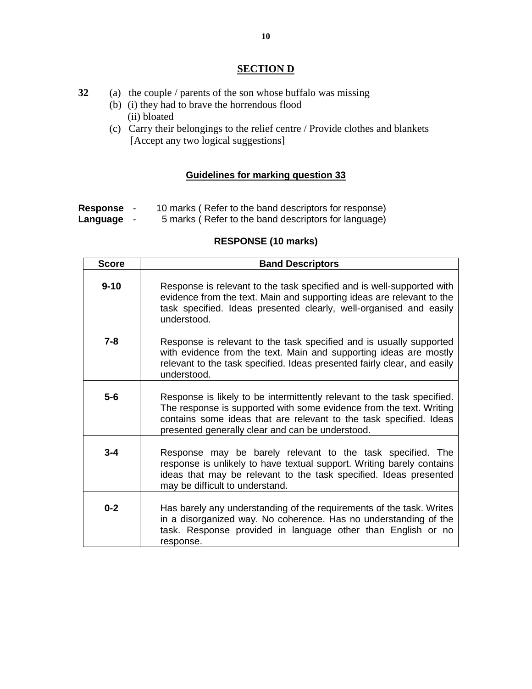### **SECTION D**

- **32** (a) the couple / parents of the son whose buffalo was missing
	- (b) (i) they had to brave the horrendous flood (ii) bloated
	- (c) Carry their belongings to the relief centre / Provide clothes and blankets [Accept any two logical suggestions]

# **Guidelines for marking question 33**

- **Response** 10 marks ( Refer to the band descriptors for response)
- **Language** 5 marks ( Refer to the band descriptors for language)

# **RESPONSE (10 marks)**

| <b>Score</b> | <b>Band Descriptors</b>                                                                                                                                                                                                                                                  |
|--------------|--------------------------------------------------------------------------------------------------------------------------------------------------------------------------------------------------------------------------------------------------------------------------|
| $9 - 10$     | Response is relevant to the task specified and is well-supported with<br>evidence from the text. Main and supporting ideas are relevant to the<br>task specified. Ideas presented clearly, well-organised and easily<br>understood.                                      |
| $7 - 8$      | Response is relevant to the task specified and is usually supported<br>with evidence from the text. Main and supporting ideas are mostly<br>relevant to the task specified. Ideas presented fairly clear, and easily<br>understood.                                      |
| $5-6$        | Response is likely to be intermittently relevant to the task specified.<br>The response is supported with some evidence from the text. Writing<br>contains some ideas that are relevant to the task specified. Ideas<br>presented generally clear and can be understood. |
| $3 - 4$      | Response may be barely relevant to the task specified. The<br>response is unlikely to have textual support. Writing barely contains<br>ideas that may be relevant to the task specified. Ideas presented<br>may be difficult to understand.                              |
| $0 - 2$      | Has barely any understanding of the requirements of the task. Writes<br>in a disorganized way. No coherence. Has no understanding of the<br>task. Response provided in language other than English or no<br>response.                                                    |